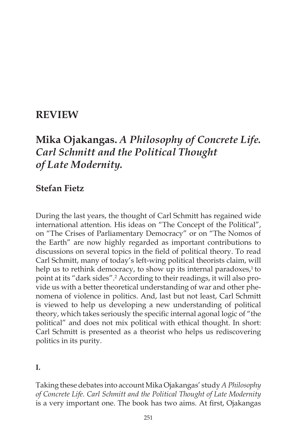# **Mika Ojakangas.** *A Philosophy of Concrete Life. Carl Schmitt and the Political Thought of Late Modernity.*

## **Stefan Fietz**

During the last years, the thought of Carl Schmitt has regained wide international attention. His ideas on "The Concept of the Political", on "The Crises of Parliamentary Democracy" or on "The Nomos of the Earth" are now highly regarded as important contributions to discussions on several topics in the field of political theory. To read Carl Schmitt, many of today's left-wing political theorists claim, will help us to rethink democracy, to show up its internal paradoxes, $1$  to point at its "dark sides".2 According to their readings, it will also provide us with a better theoretical understanding of war and other phenomena of violence in politics. And, last but not least, Carl Schmitt is viewed to help us developing a new understanding of political theory, which takes seriously the specific internal agonal logic of "the political" and does not mix political with ethical thought. In short: Carl Schmitt is presented as a theorist who helps us rediscovering politics in its purity.

**I.**

Taking these debates into account Mika Ojakangas' study *A Philosophy of Concrete Life. Carl Schmitt and the Political Thought of Late Modernity*  is a very important one. The book has two aims. At first, Ojakangas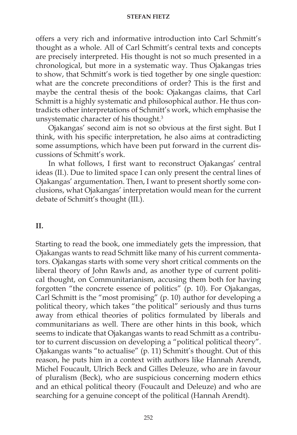#### **STEFAN FIETZ**

offers a very rich and informative introduction into Carl Schmitt's thought as a whole. All of Carl Schmitt's central texts and concepts are precisely interpreted. His thought is not so much presented in a chronological, but more in a systematic way. Thus Ojakangas tries to show, that Schmitt's work is tied together by one single question: what are the concrete preconditions of order? This is the first and maybe the central thesis of the book: Ojakangas claims, that Carl Schmitt is a highly systematic and philosophical author. He thus contradicts other interpretations of Schmitt's work, which emphasise the unsystematic character of his thought.3

Ojakangas' second aim is not so obvious at the first sight. But I think, with his specific interpretation, he also aims at contradicting some assumptions, which have been put forward in the current discussions of Schmitt's work.

In what follows, I first want to reconstruct Ojakangas' central ideas (II.). Due to limited space I can only present the central lines of Ojakangas' argumentation. Then, I want to present shortly some conclusions, what Ojakangas' interpretation would mean for the current debate of Schmitt's thought (III.).

### **II.**

Starting to read the book, one immediately gets the impression, that Ojakangas wants to read Schmitt like many of his current commentators. Ojakangas starts with some very short critical comments on the liberal theory of John Rawls and, as another type of current political thought, on Communitarianism, accusing them both for having forgotten "the concrete essence of politics" (p. 10). For Ojakangas, Carl Schmitt is the "most promising" (p. 10) author for developing a political theory, which takes "the political" seriously and thus turns away from ethical theories of politics formulated by liberals and communitarians as well. There are other hints in this book, which seems to indicate that Ojakangas wants to read Schmitt as a contributor to current discussion on developing a "political political theory". Ojakangas wants "to actualise" (p. 11) Schmitt's thought. Out of this reason, he puts him in a context with authors like Hannah Arendt, Michel Foucault, Ulrich Beck and Gilles Deleuze, who are in favour of pluralism (Beck), who are suspicious concerning modern ethics and an ethical political theory (Foucault and Deleuze) and who are searching for a genuine concept of the political (Hannah Arendt).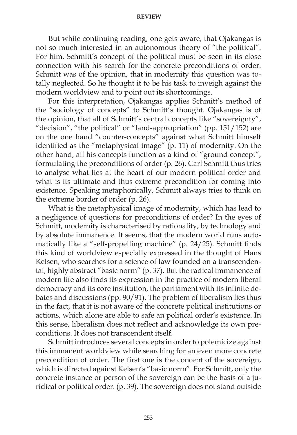But while continuing reading, one gets aware, that Ojakangas is not so much interested in an autonomous theory of "the political". For him, Schmitt's concept of the political must be seen in its close connection with his search for the concrete preconditions of order. Schmitt was of the opinion, that in modernity this question was totally neglected. So he thought it to be his task to inveigh against the modern worldview and to point out its shortcomings.

For this interpretation, Ojakangas applies Schmitt's method of the "sociology of concepts" to Schmitt's thought. Ojakangas is of the opinion, that all of Schmitt's central concepts like "sovereignty", "decision", "the political" or "land-appropriation" (pp. 151/152) are on the one hand "counter-concepts" against what Schmitt himself identified as the "metaphysical image" (p. 11) of modernity. On the other hand, all his concepts function as a kind of "ground concept", formulating the preconditions of order (p. 26). Carl Schmitt thus tries to analyse what lies at the heart of our modern political order and what is its ultimate and thus extreme precondition for coming into existence. Speaking metaphorically, Schmitt always tries to think on the extreme border of order (p. 26).

What is the metaphysical image of modernity, which has lead to a negligence of questions for preconditions of order? In the eyes of Schmitt, modernity is characterised by rationality, by technology and by absolute immanence. It seems, that the modern world runs automatically like a "self-propelling machine" (p. 24/25). Schmitt finds this kind of worldview especially expressed in the thought of Hans Kelsen, who searches for a science of law founded on a transcendental, highly abstract "basic norm" (p. 37). But the radical immanence of modern life also finds its expression in the practice of modern liberal democracy and its core institution, the parliament with its infinite debates and discussions (pp. 90/91). The problem of liberalism lies thus in the fact, that it is not aware of the concrete political institutions or actions, which alone are able to safe an political order's existence. In this sense, liberalism does not reflect and acknowledge its own preconditions. It does not transcendent itself.

Schmitt introduces several concepts in order to polemicize against this immanent worldview while searching for an even more concrete precondition of order. The first one is the concept of the sovereign, which is directed against Kelsen's "basic norm". For Schmitt, only the concrete instance or person of the sovereign can be the basis of a juridical or political order. (p. 39). The sovereign does not stand outside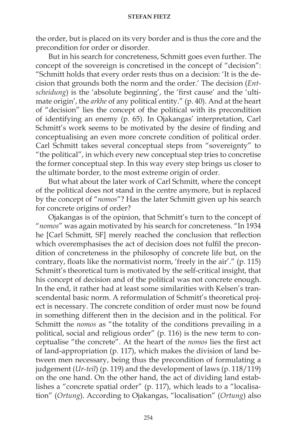#### **STEFAN FIETZ**

the order, but is placed on its very border and is thus the core and the precondition for order or disorder.

But in his search for concreteness, Schmitt goes even further. The concept of the sovereign is concretised in the concept of "decision": "Schmitt holds that every order rests thus on a decision: 'It is the decision that grounds both the norm and the order.' The decision (*Entscheidung*) is the 'absolute beginning', the 'first cause' and the 'ultimate origin', the *arkhe* of any political entity." (p. 40). And at the heart of "decision" lies the concept of the political with its precondition of identifying an enemy (p. 65). In Ojakangas' interpretation, Carl Schmitt's work seems to be motivated by the desire of finding and conceptualising an even more concrete condition of political order. Carl Schmitt takes several conceptual steps from "sovereignty" to "the political", in which every new conceptual step tries to concretise the former conceptual step. In this way every step brings us closer to the ultimate border, to the most extreme origin of order.

But what about the later work of Carl Schmitt, where the concept of the political does not stand in the centre anymore, but is replaced by the concept of "*nomos*"? Has the later Schmitt given up his search for concrete origins of order?

Ojakangas is of the opinion, that Schmitt's turn to the concept of "*nomos*" was again motivated by his search for concreteness. "In 1934 he [Carl Schmitt, SF] merely reached the conclusion that reflection which overemphasises the act of decision does not fulfil the precondition of concreteness in the philosophy of concrete life but, on the contrary, floats like the normativist norm, 'freely in the air'." (p. 115) Schmitt's theoretical turn is motivated by the self-critical insight, that his concept of decision and of the political was not concrete enough. In the end, it rather had at least some similarities with Kelsen's transcendental basic norm. A reformulation of Schmitt's theoretical project is necessary. The concrete condition of order must now be found in something different then in the decision and in the political. For Schmitt the *nomos* as "the totality of the conditions prevailing in a political, social and religious order" (p. 116) is the new term to conceptualise "the concrete". At the heart of the *nomos* lies the first act of land-appropriation (p. 117), which makes the division of land between men necessary, being thus the precondition of formulating a judgement (*Ur-teil*) (p. 119) and the development of laws (p. 118/119) on the one hand. On the other hand, the act of dividing land establishes a "concrete spatial order" (p. 117), which leads to a "localisation" (*Ortung*). According to Ojakangas, "localisation" (*Ortung*) also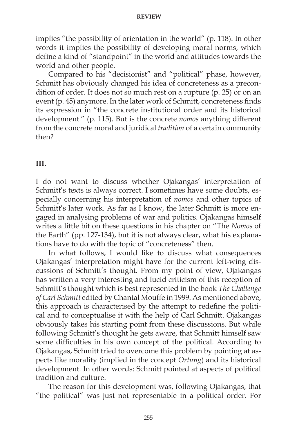implies "the possibility of orientation in the world" (p. 118). In other words it implies the possibility of developing moral norms, which define a kind of "standpoint" in the world and attitudes towards the world and other people.

Compared to his "decisionist" and "political" phase, however, Schmitt has obviously changed his idea of concreteness as a precondition of order. It does not so much rest on a rupture (p. 25) or on an event (p. 45) anymore. In the later work of Schmitt, concreteness finds its expression in "the concrete institutional order and its historical development." (p. 115). But is the concrete *nomos* anything different from the concrete moral and juridical *tradition* of a certain community then?

## **III.**

I do not want to discuss whether Ojakangas' interpretation of Schmitt's texts is always correct. I sometimes have some doubts, especially concerning his interpretation of *nomos* and other topics of Schmitt's later work. As far as I know, the later Schmitt is more engaged in analysing problems of war and politics. Ojakangas himself writes a little bit on these questions in his chapter on "The *Nomos* of the Earth" (pp. 127-134), but it is not always clear, what his explanations have to do with the topic of "concreteness" then.

In what follows, I would like to discuss what consequences Ojakangas' interpretation might have for the current left-wing discussions of Schmitt's thought. From my point of view, Ojakangas has written a very interesting and lucid criticism of this reception of Schmitt's thought which is best represented in the book *The Challenge of Carl Schmitt* edited by Chantal Mouffe in 1999. As mentioned above, this approach is characterised by the attempt to redefine the political and to conceptualise it with the help of Carl Schmitt. Ojakangas obviously takes his starting point from these discussions. But while following Schmitt's thought he gets aware, that Schmitt himself saw some difficulties in his own concept of the political. According to Ojakangas, Schmitt tried to overcome this problem by pointing at aspects like morality (implied in the concept *Ortung*) and its historical development. In other words: Schmitt pointed at aspects of political tradition and culture.

The reason for this development was, following Ojakangas, that "the political" was just not representable in a political order. For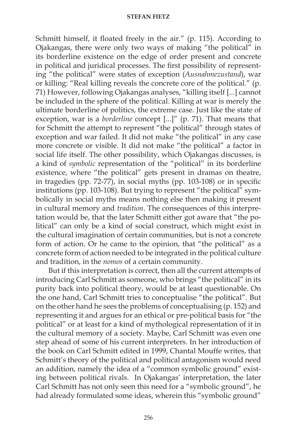#### **STEFAN FIETZ**

Schmitt himself, it floated freely in the air." (p. 115). According to Ojakangas, there were only two ways of making "the political" in its borderline existence on the edge of order present and concrete in political and juridical processes. The first possibility of representing "the political" were states of exception (*Ausnahmezustand*), war or killing: "Real killing reveals the concrete core of the political." (p. 71) However, following Ojakangas analyses, "killing itself [...] cannot be included in the sphere of the political. Killing at war is merely the ultimate borderline of politics, the extreme case. Just like the state of exception, war is a *borderline* concept [...]" (p. 71). That means that for Schmitt the attempt to represent "the political" through states of exception and war failed. It did not make "the political" in any case more concrete or visible. It did not make "the political" a factor in social life itself. The other possibility, which Ojakangas discusses, is a kind of *symbolic* representation of the "political" in its borderline existence, where "the political" gets present in dramas on theatre, in tragedies (pp. 72-77), in social myths (pp. 103-108) or in specific institutions (pp. 103-108). But trying to represent "the political" symbolically in social myths means nothing else then making it present in cultural memory and *tradition*. The consequences of this interpretation would be, that the later Schmitt either got aware that "the political" can only be a kind of social construct, which might exist in the cultural imagination of certain communities, but is not a concrete form of action. Or he came to the opinion, that "the political" as a concrete form of action needed to be integrated in the political culture and tradition, in the *nomos* of a certain community.

But if this interpretation is correct, then all the current attempts of introducing Carl Schmitt as someone, who brings "the political" in its purity back into political theory, would be at least questionable. On the one hand, Carl Schmitt tries to conceptualise "the political". But on the other hand he sees the problems of conceptualising (p. 152) and representing it and argues for an ethical or pre-political basis for "the political" or at least for a kind of mythological representation of it in the cultural memory of a society. Maybe, Carl Schmitt was even one step ahead of some of his current interpreters. In her introduction of the book on Carl Schmitt edited in 1999, Chantal Mouffe writes, that Schmitt's theory of the political and political antagonism would need an addition, namely the idea of a "common symbolic ground" existing between political rivals. In Ojakangas' interpretation, the later Carl Schmitt has not only seen this need for a "symbolic ground", he had already formulated some ideas, wherein this "symbolic ground"